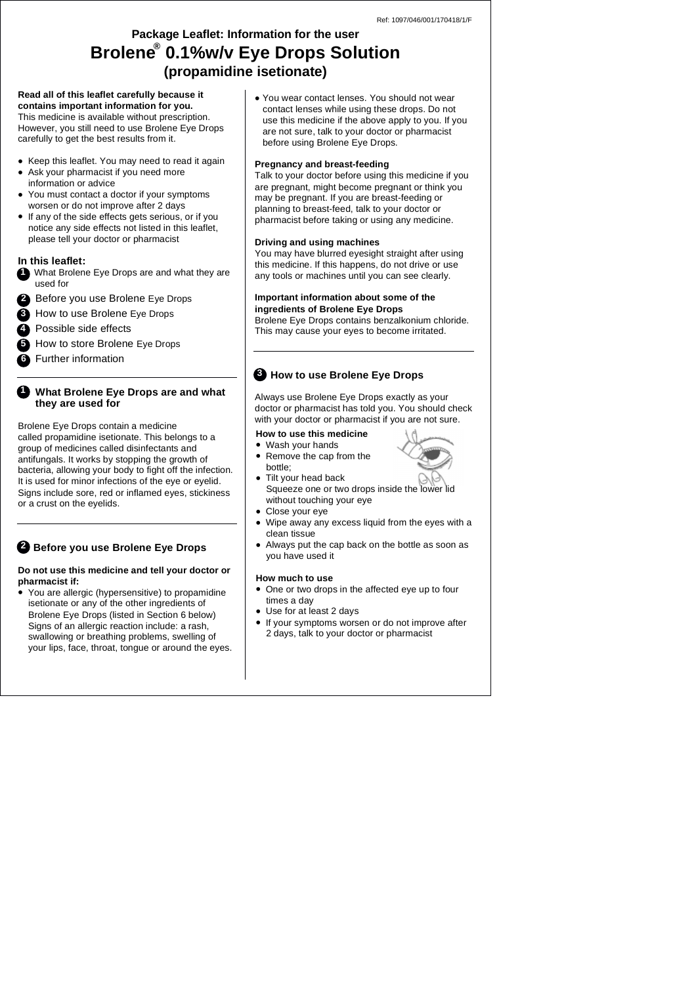# **Package Leaflet: Information for the user (propamidine isetionate) Brolene® 0.1%w/v Eye Drops Solution**

#### **Read all of this leaflet carefully because it contains important information for you.**

This medicine is available without prescription. However, you still need to use Brolene Eye Drops carefully to get the best results from it.

- Keep this leaflet. You may need to read it again
- Ask your pharmacist if you need more information or advice
- You must contact a doctor if your symptoms worsen or do not improve after 2 days
- If any of the side effects gets serious, or if you notice any side effects not listed in this leaflet, please tell your doctor or pharmacist

## **In this leaflet:**

- **1** What Brolene Eye Drops are and what they are used for
- Before you use Brolene Eye Drops **2**
- How to use Brolene Eye Drops **3**
- Possible side effects **4**
- How to store Brolene Eye Drops **5**
- Further information **6**

## **What Brolene Eye Drops are and what 1 they are used for**

Brolene Eye Drops contain a medicine called propamidine isetionate. This belongs to a group of medicines called disinfectants and antifungals. It works by stopping the growth of bacteria, allowing your body to fight off the infection. It is used for minor infections of the eye or eyelid. Signs include sore, red or inflamed eyes, stickiness or a crust on the eyelids.

## **Before you use Brolene Eye Drops 2**

### **Do not use this medicine and tell your doctor or pharmacist if:**

• You are allergic (hypersensitive) to propamidine isetionate or any of the other ingredients of Brolene Eye Drops (listed in Section 6 below) Signs of an allergic reaction include: a rash, swallowing or breathing problems, swelling of your lips, face, throat, tongue or around the eyes. • You wear contact lenses. You should not wear contact lenses while using these drops. Do not use this medicine if the above apply to you. If you are not sure, talk to your doctor or pharmacist before using Brolene Eye Drops.

### **Pregnancy and breast-feeding**

Talk to your doctor before using this medicine if you are pregnant, might become pregnant or think you may be pregnant. If you are breast-feeding or planning to breast-feed, talk to your doctor or pharmacist before taking or using any medicine.

## **Driving and using machines**

You may have blurred eyesight straight after using this medicine. If this happens, do not drive or use any tools or machines until you can see clearly.

#### **Important information about some of the ingredients of Brolene Eye Drops**

Brolene Eye Drops contains benzalkonium chloride. This may cause your eyes to become irritated.

## **How to use Brolene Eye Drops 3**

Always use Brolene Eye Drops exactly as your doctor or pharmacist has told you. You should check with your doctor or pharmacist if you are not sure.

## **How to use this medicine**

• Wash your hands Remove the cap from the bottle;



- Tilt your head back Squeeze one or two drops inside the lower lid without touching your eye
- Close your eye
- Wipe away any excess liquid from the eyes with a clean tissue
- Always put the cap back on the bottle as soon as you have used it

### **How much to use**

- One or two drops in the affected eye up to four times a day
- Use for at least 2 days
- If your symptoms worsen or do not improve after 2 days, talk to your doctor or pharmacist